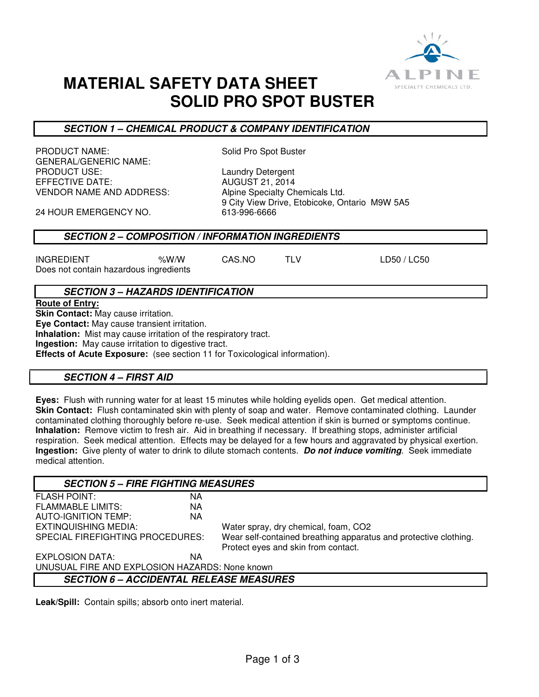

# **MATERIAL SAFETY DATA SHEET SOLID PRO SPOT BUSTER**

### **SECTION 1 – CHEMICAL PRODUCT & COMPANY IDENTIFICATION**

PRODUCT NAME: Solid Pro Spot Buster GENERAL/GENERIC NAME: PRODUCT USE:<br>EFFECTIVE DATE: Laundry Detergent VENDOR NAME AND ADDRESS: Alpine Specialty Chemicals Ltd.

**AUGUST 21, 2014** 9 City View Drive, Etobicoke, Ontario M9W 5A5<br>613-996-6666

24 HOUR EMERGENCY NO.

### **SECTION 2 – COMPOSITION / INFORMATION INGREDIENTS**

INGREDIENT %W/W CAS.NO TLV LD50 / LC50 Does not contain hazardous ingredients

### **SECTION 3 – HAZARDS IDENTIFICATION**

**Route of Entry: Skin Contact:** May cause irritation. **Eye Contact:** May cause transient irritation. **Inhalation:** Mist may cause irritation of the respiratory tract. **Ingestion:** May cause irritation to digestive tract. **Effects of Acute Exposure:** (see section 11 for Toxicological information).

## **SECTION 4 – FIRST AID**

**Eyes:** Flush with running water for at least 15 minutes while holding eyelids open. Get medical attention. **Skin Contact:** Flush contaminated skin with plenty of soap and water. Remove contaminated clothing. Launder contaminated clothing thoroughly before re-use. Seek medical attention if skin is burned or symptoms continue. **Inhalation:** Remove victim to fresh air. Aid in breathing if necessary. If breathing stops, administer artificial respiration. Seek medical attention. Effects may be delayed for a few hours and aggravated by physical exertion. **Ingestion:** Give plenty of water to drink to dilute stomach contents. **Do not induce vomiting**. Seek immediate medical attention.

| <b>SECTION 5 - FIRE FIGHTING MEASURES</b>      |           |                                                                  |  |  |
|------------------------------------------------|-----------|------------------------------------------------------------------|--|--|
| <b>FLASH POINT:</b>                            | ΝA        |                                                                  |  |  |
| <b>FLAMMABLE LIMITS:</b>                       | <b>NA</b> |                                                                  |  |  |
| <b>AUTO-IGNITION TEMP:</b>                     | <b>NA</b> |                                                                  |  |  |
| <b>EXTINQUISHING MEDIA:</b>                    |           | Water spray, dry chemical, foam, CO2                             |  |  |
| SPECIAL FIREFIGHTING PROCEDURES:               |           | Wear self-contained breathing apparatus and protective clothing. |  |  |
|                                                |           | Protect eyes and skin from contact.                              |  |  |
| EXPLOSION DATA:                                | ΝA        |                                                                  |  |  |
| UNUSUAL FIRE AND EXPLOSION HAZARDS: None known |           |                                                                  |  |  |
| <b>SECTION 6 - ACCIDENTAL RELEASE MEASURES</b> |           |                                                                  |  |  |

**Leak/Spill:** Contain spills; absorb onto inert material.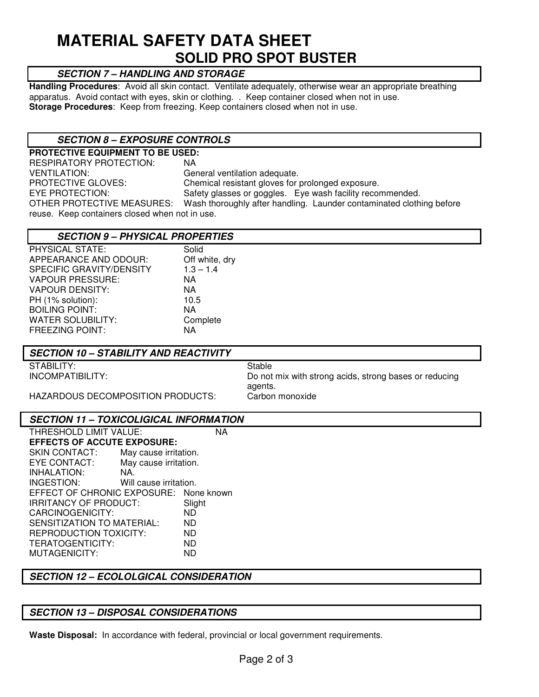# **MATERIAL SAFETY DATA SHEET SOLID PRO SPOT BUSTER**

## **SECTION 7 – HANDLING AND STORAGE**

**Handling Procedures**: Avoid all skin contact. Ventilate adequately, otherwise wear an appropriate breathing apparatus. Avoid contact with eyes, skin or clothing. . Keep container closed when not in use. **Storage Procedures**: Keep from freezing. Keep containers closed when not in use.

### **SECTION 8 – EXPOSURE CONTROLS**

**PROTECTIVE EQUIPMENT TO BE USED:**  RESPIRATORY PROTECTION: NA VENTILATION: General ventilation adequate. PROTECTIVE GLOVES:<br>
EYE PROTECTION: Safety glasses or goggles. Eve wash facility recor Safety glasses or goggles. Eye wash facility recommended. OTHER PROTECTIVE MEASURES: Wash thoroughly after handling. Launder contaminated clothing before reuse. Keep containers closed when not in use.

### **SECTION 9 – PHYSICAL PROPERTIES**

| <b>PHYSICAL STATE:</b>   | Solid          |
|--------------------------|----------------|
| APPEARANCE AND ODOUR:    | Off white, dry |
| SPECIFIC GRAVITY/DENSITY | $1.3 - 1.4$    |
| <b>VAPOUR PRESSURE:</b>  | NA             |
| <b>VAPOUR DENSITY:</b>   | ΝA             |
| PH (1% solution):        | 10.5           |
| <b>BOILING POINT:</b>    | NA             |
| <b>WATER SOLUBILITY:</b> | Complete       |
| <b>FREEZING POINT:</b>   | ΝA             |
|                          |                |

### **SECTION 10 – STABILITY AND REACTIVITY**

STABILITY: STABILITY:

INCOMPATIBILITY: Do not mix with strong acids, strong bases or reducing agents.

HAZARDOUS DECOMPOSITION PRODUCTS: Carbon monoxide

### **SECTION 11 – TOXICOLIGICAL INFORMATION**

| THRESHOLD LIMIT VALUE:                 |                        |        |  |  |
|----------------------------------------|------------------------|--------|--|--|
| <b>EFFECTS OF ACCUTE EXPOSURE:</b>     |                        |        |  |  |
| <b>SKIN CONTACT:</b>                   | May cause irritation.  |        |  |  |
| <b>EYE CONTACT:</b>                    | May cause irritation.  |        |  |  |
| INHALATION:                            | NA.                    |        |  |  |
| INGESTION:                             | Will cause irritation. |        |  |  |
| EFFECT OF CHRONIC EXPOSURE: None known |                        |        |  |  |
| <b>IRRITANCY OF PRODUCT:</b>           |                        | Slight |  |  |
| CARCINOGENICITY:                       |                        | ND     |  |  |
| SENSITIZATION TO MATERIAL:             |                        | ND     |  |  |
| <b>REPRODUCTION TOXICITY:</b>          |                        | ND     |  |  |
| TERATOGENTICITY:                       |                        | ND     |  |  |
| MUTAGENICITY:                          |                        | ND     |  |  |

## **SECTION 12 – ECOLOLGICAL CONSIDERATION**

## **SECTION 13 – DISPOSAL CONSIDERATIONS**

**Waste Disposal:** In accordance with federal, provincial or local government requirements.